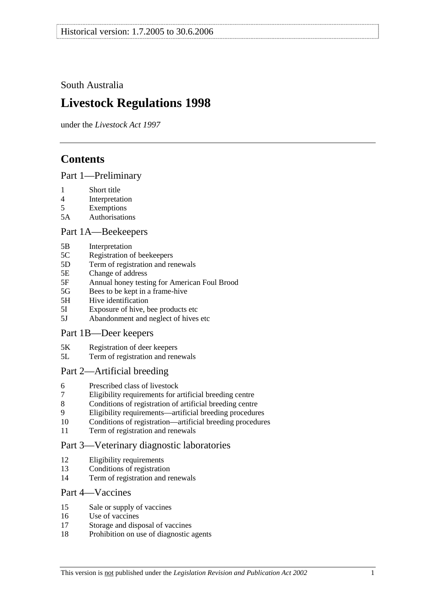# South Australia

# **Livestock Regulations 1998**

under the *Livestock Act 1997*

# **Contents**

## Part 1—Preliminary

- 1 Short title
- 4 Interpretation
- 5 Exemptions
- 5A Authorisations

## Part 1A—Beekeepers

- 5B Interpretation
- 5C Registration of beekeepers
- 5D Term of registration and renewals
- 5E Change of address
- 5F Annual honey testing for American Foul Brood
- 5G Bees to be kept in a frame-hive
- 5H Hive identification
- 5I Exposure of hive, bee products etc
- 5J Abandonment and neglect of hives etc

## Part 1B—Deer keepers

- 5K Registration of deer keepers
- 5L Term of registration and renewals

## Part 2—Artificial breeding

- 6 Prescribed class of livestock
- 7 Eligibility requirements for artificial breeding centre
- 8 Conditions of registration of artificial breeding centre
- 9 Eligibility requirements—artificial breeding procedures
- 10 Conditions of registration—artificial breeding procedures
- 11 Term of registration and renewals

## Part 3—Veterinary diagnostic laboratories

- 12 Eligibility requirements
- 13 Conditions of registration
- 14 Term of registration and renewals

## Part 4—Vaccines

- 15 Sale or supply of vaccines
- 16 Use of vaccines
- 17 Storage and disposal of vaccines
- 18 Prohibition on use of diagnostic agents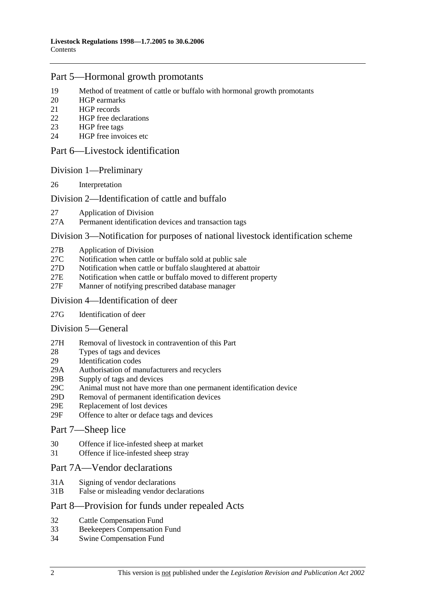## Part 5—Hormonal growth promotants

- 19 Method of treatment of cattle or buffalo with hormonal growth promotants
- 20 HGP earmarks
- 21 HGP records
- 22 HGP free declarations
- 23 HGP free tags
- 24 HGP free invoices etc

### Part 6—Livestock identification

### Division 1—Preliminary

26 Interpretation

## Division 2—Identification of cattle and buffalo

- 27 Application of Division
- 27A Permanent identification devices and transaction tags

### Division 3—Notification for purposes of national livestock identification scheme

- 27B Application of Division
- 27C Notification when cattle or buffalo sold at public sale
- 27D Notification when cattle or buffalo slaughtered at abattoir
- 27E Notification when cattle or buffalo moved to different property
- 27F Manner of notifying prescribed database manager

### Division 4—Identification of deer

27G Identification of deer

## Division 5—General

- 27H Removal of livestock in contravention of this Part
- 28 Types of tags and devices
- 29 Identification codes
- 29A Authorisation of manufacturers and recyclers
- 29B Supply of tags and devices
- 29C Animal must not have more than one permanent identification device
- 29D Removal of permanent identification devices
- 29E Replacement of lost devices
- 29F Offence to alter or deface tags and devices

### Part 7—Sheep lice

- 30 Offence if lice-infested sheep at market
- 31 Offence if lice-infested sheep stray

## Part 7A—Vendor declarations

- 31A Signing of vendor declarations
- 31B False or misleading vendor declarations

## Part 8—Provision for funds under repealed Acts

- 32 Cattle Compensation Fund
- 33 Beekeepers Compensation Fund
- 34 Swine Compensation Fund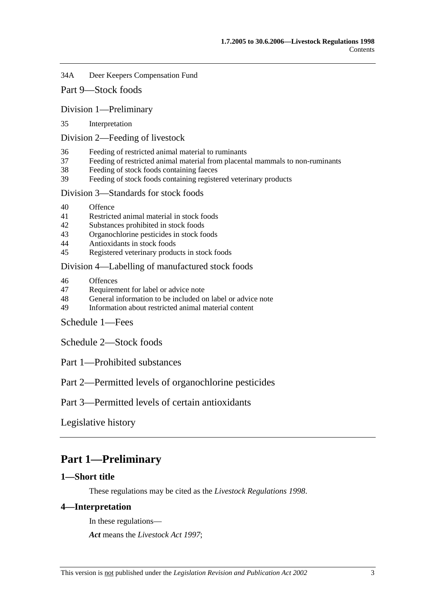34A Deer Keepers Compensation Fund

Part 9—Stock foods

Division 1—Preliminary

35 Interpretation

Division 2—Feeding of livestock

- 36 Feeding of restricted animal material to ruminants
- 37 Feeding of restricted animal material from placental mammals to non-ruminants
- 38 Feeding of stock foods containing faeces
- 39 Feeding of stock foods containing registered veterinary products

Division 3—Standards for stock foods

- 40 Offence
- 41 Restricted animal material in stock foods
- 42 Substances prohibited in stock foods
- 43 Organochlorine pesticides in stock foods
- 44 Antioxidants in stock foods
- 45 Registered veterinary products in stock foods

Division 4—Labelling of manufactured stock foods

- 46 Offences
- 47 Requirement for label or advice note
- 48 General information to be included on label or advice note
- 49 Information about restricted animal material content
- Schedule 1—Fees

Schedule 2—Stock foods

Part 1—Prohibited substances

Part 2—Permitted levels of organochlorine pesticides

Part 3—Permitted levels of certain antioxidants

Legislative history

# **Part 1—Preliminary**

## **1—Short title**

These regulations may be cited as the *Livestock Regulations 1998*.

## **4—Interpretation**

In these regulations—

*Act* means the *Livestock Act 1997*;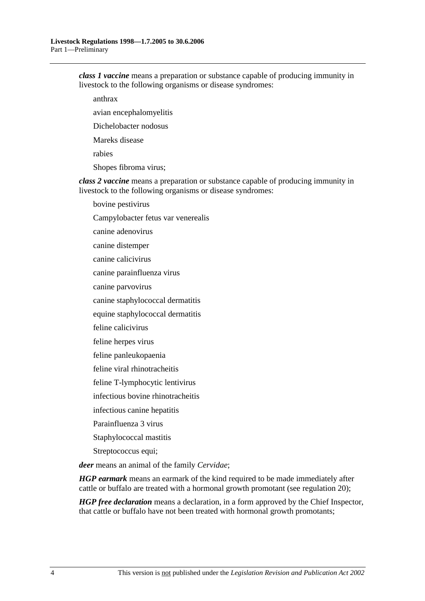*class 1 vaccine* means a preparation or substance capable of producing immunity in livestock to the following organisms or disease syndromes:

anthrax

avian encephalomyelitis

Dichelobacter nodosus

Mareks disease

rabies

Shopes fibroma virus;

*class 2 vaccine* means a preparation or substance capable of producing immunity in livestock to the following organisms or disease syndromes:

bovine pestivirus

Campylobacter fetus var venerealis

canine adenovirus

canine distemper

canine calicivirus

canine parainfluenza virus

canine parvovirus

canine staphylococcal dermatitis

equine staphylococcal dermatitis

feline calicivirus

feline herpes virus

feline panleukopaenia

feline viral rhinotracheitis

feline T-lymphocytic lentivirus

infectious bovine rhinotracheitis

infectious canine hepatitis

Parainfluenza 3 virus

Staphylococcal mastitis

Streptococcus equi;

*deer* means an animal of the family *Cervidae*;

*HGP earmark* means an earmark of the kind required to be made immediately after cattle or buffalo are treated with a hormonal growth promotant (see regulation 20);

*HGP free declaration* means a declaration, in a form approved by the Chief Inspector, that cattle or buffalo have not been treated with hormonal growth promotants;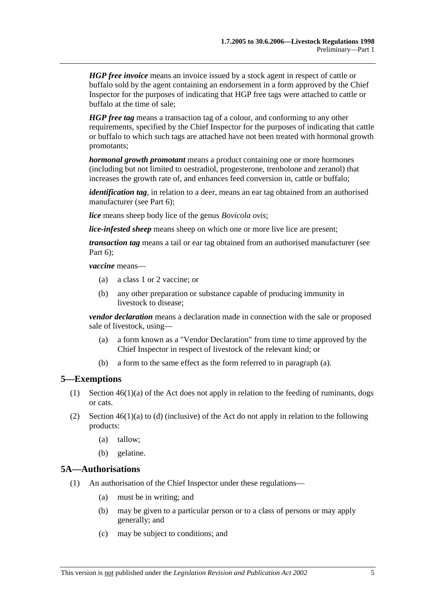*HGP free invoice* means an invoice issued by a stock agent in respect of cattle or buffalo sold by the agent containing an endorsement in a form approved by the Chief Inspector for the purposes of indicating that HGP free tags were attached to cattle or buffalo at the time of sale;

*HGP free tag* means a transaction tag of a colour, and conforming to any other requirements, specified by the Chief Inspector for the purposes of indicating that cattle or buffalo to which such tags are attached have not been treated with hormonal growth promotants;

*hormonal growth promotant* means a product containing one or more hormones (including but not limited to oestradiol, progesterone, trenbolone and zeranol) that increases the growth rate of, and enhances feed conversion in, cattle or buffalo;

*identification tag*, in relation to a deer, means an ear tag obtained from an authorised manufacturer (see Part 6);

*lice* means sheep body lice of the genus *Bovicola ovis*;

*lice-infested sheep* means sheep on which one or more live lice are present;

*transaction tag* means a tail or ear tag obtained from an authorised manufacturer (see Part 6);

*vaccine* means—

- (a) a class 1 or 2 vaccine; or
- (b) any other preparation or substance capable of producing immunity in livestock to disease;

*vendor declaration* means a declaration made in connection with the sale or proposed sale of livestock, using—

- (a) a form known as a "Vendor Declaration" from time to time approved by the Chief Inspector in respect of livestock of the relevant kind; or
- (b) a form to the same effect as the form referred to in paragraph (a).

#### **5—Exemptions**

- (1) Section  $46(1)(a)$  of the Act does not apply in relation to the feeding of ruminants, dogs or cats.
- (2) Section  $46(1)(a)$  to (d) (inclusive) of the Act do not apply in relation to the following products:
	- (a) tallow;
	- (b) gelatine.

### **5A—Authorisations**

- (1) An authorisation of the Chief Inspector under these regulations—
	- (a) must be in writing; and
	- (b) may be given to a particular person or to a class of persons or may apply generally; and
	- (c) may be subject to conditions; and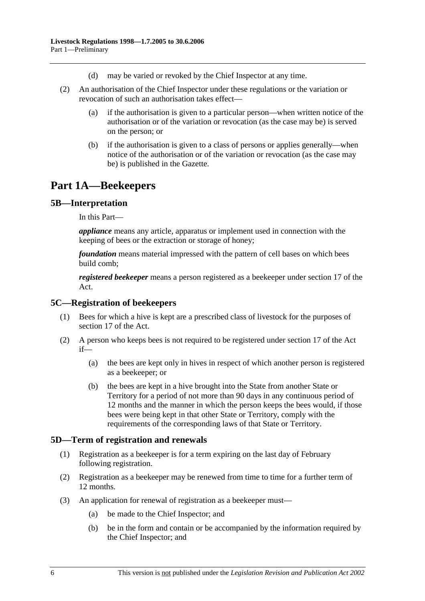- (d) may be varied or revoked by the Chief Inspector at any time.
- (2) An authorisation of the Chief Inspector under these regulations or the variation or revocation of such an authorisation takes effect—
	- (a) if the authorisation is given to a particular person—when written notice of the authorisation or of the variation or revocation (as the case may be) is served on the person; or
	- (b) if the authorisation is given to a class of persons or applies generally—when notice of the authorisation or of the variation or revocation (as the case may be) is published in the Gazette.

# **Part 1A—Beekeepers**

### **5B—Interpretation**

In this Part—

*appliance* means any article, apparatus or implement used in connection with the keeping of bees or the extraction or storage of honey;

*foundation* means material impressed with the pattern of cell bases on which bees build comb;

*registered beekeeper* means a person registered as a beekeeper under section 17 of the Act.

### **5C—Registration of beekeepers**

- (1) Bees for which a hive is kept are a prescribed class of livestock for the purposes of section 17 of the Act.
- (2) A person who keeps bees is not required to be registered under section 17 of the Act if—
	- (a) the bees are kept only in hives in respect of which another person is registered as a beekeeper; or
	- (b) the bees are kept in a hive brought into the State from another State or Territory for a period of not more than 90 days in any continuous period of 12 months and the manner in which the person keeps the bees would, if those bees were being kept in that other State or Territory, comply with the requirements of the corresponding laws of that State or Territory.

## **5D—Term of registration and renewals**

- (1) Registration as a beekeeper is for a term expiring on the last day of February following registration.
- (2) Registration as a beekeeper may be renewed from time to time for a further term of 12 months.
- (3) An application for renewal of registration as a beekeeper must—
	- (a) be made to the Chief Inspector; and
	- (b) be in the form and contain or be accompanied by the information required by the Chief Inspector; and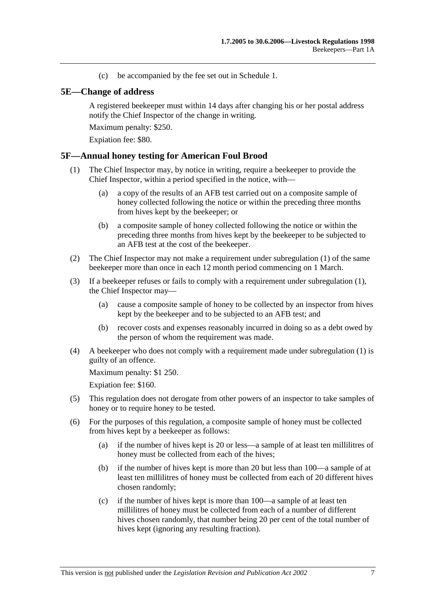(c) be accompanied by the fee set out in Schedule 1.

## **5E—Change of address**

A registered beekeeper must within 14 days after changing his or her postal address notify the Chief Inspector of the change in writing.

Maximum penalty: \$250.

Expiation fee: \$80.

### **5F—Annual honey testing for American Foul Brood**

- (1) The Chief Inspector may, by notice in writing, require a beekeeper to provide the Chief Inspector, within a period specified in the notice, with—
	- (a) a copy of the results of an AFB test carried out on a composite sample of honey collected following the notice or within the preceding three months from hives kept by the beekeeper; or
	- (b) a composite sample of honey collected following the notice or within the preceding three months from hives kept by the beekeeper to be subjected to an AFB test at the cost of the beekeeper.
- (2) The Chief Inspector may not make a requirement under subregulation (1) of the same beekeeper more than once in each 12 month period commencing on 1 March.
- (3) If a beekeeper refuses or fails to comply with a requirement under subregulation (1), the Chief Inspector may—
	- (a) cause a composite sample of honey to be collected by an inspector from hives kept by the beekeeper and to be subjected to an AFB test; and
	- (b) recover costs and expenses reasonably incurred in doing so as a debt owed by the person of whom the requirement was made.
- (4) A beekeeper who does not comply with a requirement made under subregulation (1) is guilty of an offence.

Maximum penalty: \$1 250.

Expiation fee: \$160.

- (5) This regulation does not derogate from other powers of an inspector to take samples of honey or to require honey to be tested.
- (6) For the purposes of this regulation, a composite sample of honey must be collected from hives kept by a beekeeper as follows:
	- (a) if the number of hives kept is 20 or less—a sample of at least ten millilitres of honey must be collected from each of the hives;
	- (b) if the number of hives kept is more than 20 but less than 100—a sample of at least ten millilitres of honey must be collected from each of 20 different hives chosen randomly;
	- (c) if the number of hives kept is more than 100—a sample of at least ten millilitres of honey must be collected from each of a number of different hives chosen randomly, that number being 20 per cent of the total number of hives kept (ignoring any resulting fraction).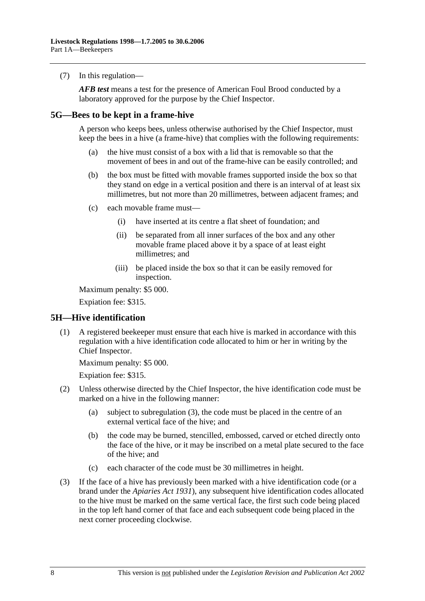(7) In this regulation—

*AFB test* means a test for the presence of American Foul Brood conducted by a laboratory approved for the purpose by the Chief Inspector.

### **5G—Bees to be kept in a frame-hive**

A person who keeps bees, unless otherwise authorised by the Chief Inspector, must keep the bees in a hive (a frame-hive) that complies with the following requirements:

- (a) the hive must consist of a box with a lid that is removable so that the movement of bees in and out of the frame-hive can be easily controlled; and
- (b) the box must be fitted with movable frames supported inside the box so that they stand on edge in a vertical position and there is an interval of at least six millimetres, but not more than 20 millimetres, between adjacent frames; and
- (c) each movable frame must—
	- (i) have inserted at its centre a flat sheet of foundation; and
	- (ii) be separated from all inner surfaces of the box and any other movable frame placed above it by a space of at least eight millimetres; and
	- (iii) be placed inside the box so that it can be easily removed for inspection.

Maximum penalty: \$5 000.

Expiation fee: \$315.

## **5H—Hive identification**

 (1) A registered beekeeper must ensure that each hive is marked in accordance with this regulation with a hive identification code allocated to him or her in writing by the Chief Inspector.

Maximum penalty: \$5 000.

Expiation fee: \$315.

- (2) Unless otherwise directed by the Chief Inspector, the hive identification code must be marked on a hive in the following manner:
	- (a) subject to subregulation (3), the code must be placed in the centre of an external vertical face of the hive; and
	- (b) the code may be burned, stencilled, embossed, carved or etched directly onto the face of the hive, or it may be inscribed on a metal plate secured to the face of the hive; and
	- (c) each character of the code must be 30 millimetres in height.
- (3) If the face of a hive has previously been marked with a hive identification code (or a brand under the *Apiaries Act 1931*), any subsequent hive identification codes allocated to the hive must be marked on the same vertical face, the first such code being placed in the top left hand corner of that face and each subsequent code being placed in the next corner proceeding clockwise.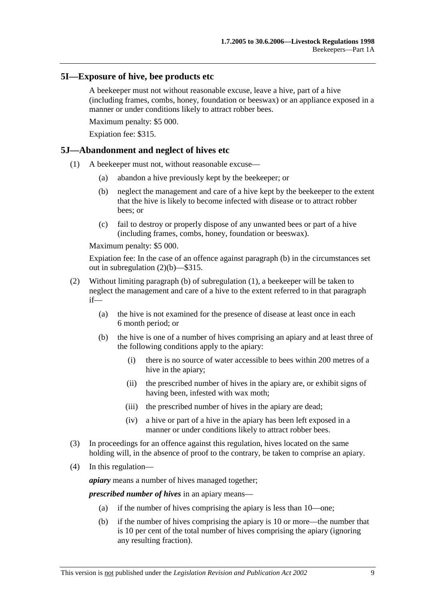### **5I—Exposure of hive, bee products etc**

A beekeeper must not without reasonable excuse, leave a hive, part of a hive (including frames, combs, honey, foundation or beeswax) or an appliance exposed in a manner or under conditions likely to attract robber bees.

Maximum penalty: \$5 000.

Expiation fee: \$315.

### **5J—Abandonment and neglect of hives etc**

- (1) A beekeeper must not, without reasonable excuse—
	- (a) abandon a hive previously kept by the beekeeper; or
	- (b) neglect the management and care of a hive kept by the beekeeper to the extent that the hive is likely to become infected with disease or to attract robber bees; or
	- (c) fail to destroy or properly dispose of any unwanted bees or part of a hive (including frames, combs, honey, foundation or beeswax).

Maximum penalty: \$5 000.

Expiation fee: In the case of an offence against paragraph (b) in the circumstances set out in subregulation (2)(b)—\$315.

- (2) Without limiting paragraph (b) of subregulation (1), a beekeeper will be taken to neglect the management and care of a hive to the extent referred to in that paragraph if—
	- (a) the hive is not examined for the presence of disease at least once in each 6 month period; or
	- (b) the hive is one of a number of hives comprising an apiary and at least three of the following conditions apply to the apiary:
		- (i) there is no source of water accessible to bees within 200 metres of a hive in the apiary;
		- (ii) the prescribed number of hives in the apiary are, or exhibit signs of having been, infested with wax moth;
		- (iii) the prescribed number of hives in the apiary are dead;
		- (iv) a hive or part of a hive in the apiary has been left exposed in a manner or under conditions likely to attract robber bees.
- (3) In proceedings for an offence against this regulation, hives located on the same holding will, in the absence of proof to the contrary, be taken to comprise an apiary.
- (4) In this regulation—

*apiary* means a number of hives managed together;

*prescribed number of hives* in an apiary means—

- (a) if the number of hives comprising the apiary is less than 10—one;
- (b) if the number of hives comprising the apiary is 10 or more—the number that is 10 per cent of the total number of hives comprising the apiary (ignoring any resulting fraction).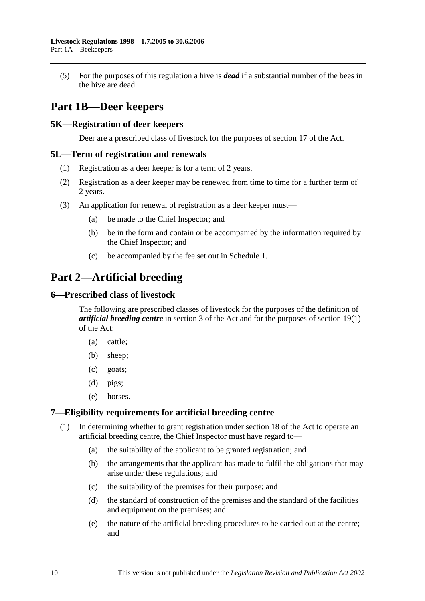(5) For the purposes of this regulation a hive is *dead* if a substantial number of the bees in the hive are dead.

# **Part 1B—Deer keepers**

### **5K—Registration of deer keepers**

Deer are a prescribed class of livestock for the purposes of section 17 of the Act.

### **5L—Term of registration and renewals**

- (1) Registration as a deer keeper is for a term of 2 years.
- (2) Registration as a deer keeper may be renewed from time to time for a further term of 2 years.
- (3) An application for renewal of registration as a deer keeper must—
	- (a) be made to the Chief Inspector; and
	- (b) be in the form and contain or be accompanied by the information required by the Chief Inspector; and
	- (c) be accompanied by the fee set out in Schedule 1.

# **Part 2—Artificial breeding**

### **6—Prescribed class of livestock**

The following are prescribed classes of livestock for the purposes of the definition of *artificial breeding centre* in section 3 of the Act and for the purposes of section 19(1) of the Act:

- (a) cattle;
- (b) sheep;
- (c) goats;
- (d) pigs;
- (e) horses.

### **7—Eligibility requirements for artificial breeding centre**

- (1) In determining whether to grant registration under section 18 of the Act to operate an artificial breeding centre, the Chief Inspector must have regard to—
	- (a) the suitability of the applicant to be granted registration; and
	- (b) the arrangements that the applicant has made to fulfil the obligations that may arise under these regulations; and
	- (c) the suitability of the premises for their purpose; and
	- (d) the standard of construction of the premises and the standard of the facilities and equipment on the premises; and
	- (e) the nature of the artificial breeding procedures to be carried out at the centre; and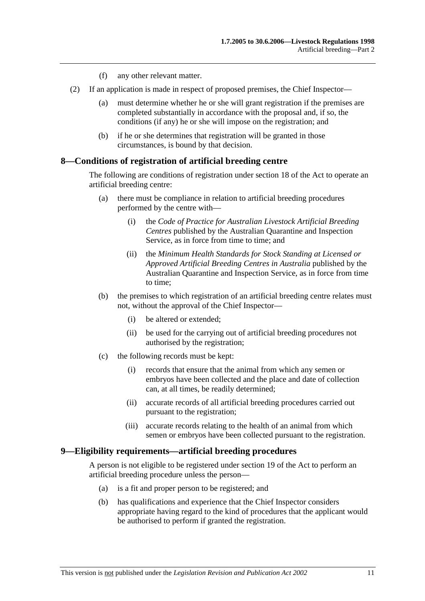- (f) any other relevant matter.
- (2) If an application is made in respect of proposed premises, the Chief Inspector—
	- (a) must determine whether he or she will grant registration if the premises are completed substantially in accordance with the proposal and, if so, the conditions (if any) he or she will impose on the registration; and
	- (b) if he or she determines that registration will be granted in those circumstances, is bound by that decision.

### **8—Conditions of registration of artificial breeding centre**

The following are conditions of registration under section 18 of the Act to operate an artificial breeding centre:

- (a) there must be compliance in relation to artificial breeding procedures performed by the centre with—
	- (i) the *Code of Practice for Australian Livestock Artificial Breeding Centres* published by the Australian Quarantine and Inspection Service, as in force from time to time; and
	- (ii) the *Minimum Health Standards for Stock Standing at Licensed or Approved Artificial Breeding Centres in Australia* published by the Australian Quarantine and Inspection Service, as in force from time to time;
- (b) the premises to which registration of an artificial breeding centre relates must not, without the approval of the Chief Inspector—
	- (i) be altered or extended;
	- (ii) be used for the carrying out of artificial breeding procedures not authorised by the registration;
- (c) the following records must be kept:
	- (i) records that ensure that the animal from which any semen or embryos have been collected and the place and date of collection can, at all times, be readily determined;
	- (ii) accurate records of all artificial breeding procedures carried out pursuant to the registration;
	- (iii) accurate records relating to the health of an animal from which semen or embryos have been collected pursuant to the registration.

### **9—Eligibility requirements—artificial breeding procedures**

A person is not eligible to be registered under section 19 of the Act to perform an artificial breeding procedure unless the person—

- (a) is a fit and proper person to be registered; and
- (b) has qualifications and experience that the Chief Inspector considers appropriate having regard to the kind of procedures that the applicant would be authorised to perform if granted the registration.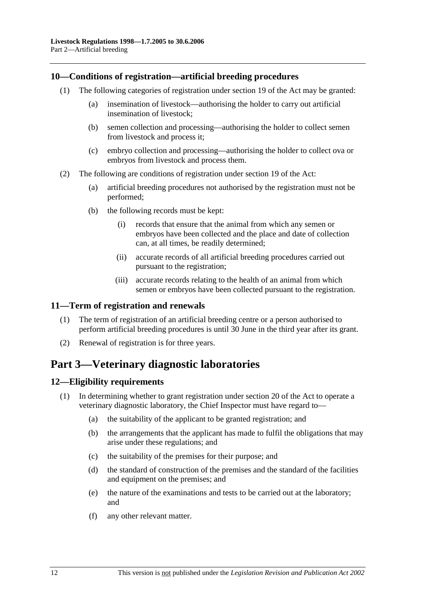## **10—Conditions of registration—artificial breeding procedures**

- (1) The following categories of registration under section 19 of the Act may be granted:
	- (a) insemination of livestock—authorising the holder to carry out artificial insemination of livestock;
	- (b) semen collection and processing—authorising the holder to collect semen from livestock and process it;
	- (c) embryo collection and processing—authorising the holder to collect ova or embryos from livestock and process them.
- (2) The following are conditions of registration under section 19 of the Act:
	- (a) artificial breeding procedures not authorised by the registration must not be performed;
	- (b) the following records must be kept:
		- (i) records that ensure that the animal from which any semen or embryos have been collected and the place and date of collection can, at all times, be readily determined;
		- (ii) accurate records of all artificial breeding procedures carried out pursuant to the registration;
		- (iii) accurate records relating to the health of an animal from which semen or embryos have been collected pursuant to the registration.

## **11—Term of registration and renewals**

- (1) The term of registration of an artificial breeding centre or a person authorised to perform artificial breeding procedures is until 30 June in the third year after its grant.
- (2) Renewal of registration is for three years.

# **Part 3—Veterinary diagnostic laboratories**

## **12—Eligibility requirements**

- (1) In determining whether to grant registration under section 20 of the Act to operate a veterinary diagnostic laboratory, the Chief Inspector must have regard to—
	- (a) the suitability of the applicant to be granted registration; and
	- (b) the arrangements that the applicant has made to fulfil the obligations that may arise under these regulations; and
	- (c) the suitability of the premises for their purpose; and
	- (d) the standard of construction of the premises and the standard of the facilities and equipment on the premises; and
	- (e) the nature of the examinations and tests to be carried out at the laboratory; and
	- (f) any other relevant matter.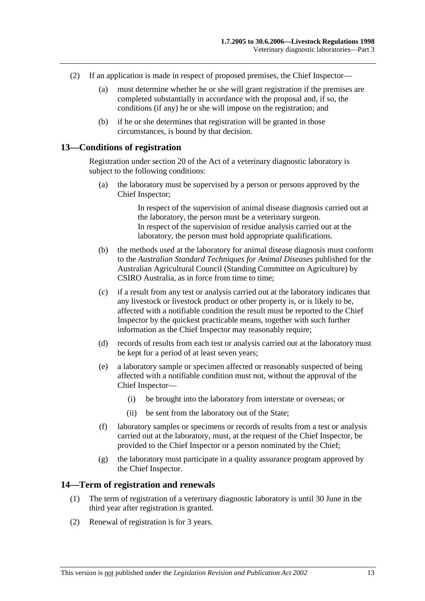- (2) If an application is made in respect of proposed premises, the Chief Inspector—
	- (a) must determine whether he or she will grant registration if the premises are completed substantially in accordance with the proposal and, if so, the conditions (if any) he or she will impose on the registration; and
	- (b) if he or she determines that registration will be granted in those circumstances, is bound by that decision.

### **13—Conditions of registration**

Registration under section 20 of the Act of a veterinary diagnostic laboratory is subject to the following conditions:

 (a) the laboratory must be supervised by a person or persons approved by the Chief Inspector;

> In respect of the supervision of animal disease diagnosis carried out at the laboratory, the person must be a veterinary surgeon. In respect of the supervision of residue analysis carried out at the laboratory, the person must hold appropriate qualifications.

- (b) the methods used at the laboratory for animal disease diagnosis must conform to the *Australian Standard Techniques for Animal Diseases* published for the Australian Agricultural Council (Standing Committee on Agriculture) by CSIRO Australia, as in force from time to time;
- (c) if a result from any test or analysis carried out at the laboratory indicates that any livestock or livestock product or other property is, or is likely to be, affected with a notifiable condition the result must be reported to the Chief Inspector by the quickest practicable means, together with such further information as the Chief Inspector may reasonably require;
- (d) records of results from each test or analysis carried out at the laboratory must be kept for a period of at least seven years;
- (e) a laboratory sample or specimen affected or reasonably suspected of being affected with a notifiable condition must not, without the approval of the Chief Inspector—
	- (i) be brought into the laboratory from interstate or overseas; or
	- (ii) be sent from the laboratory out of the State;
- (f) laboratory samples or specimens or records of results from a test or analysis carried out at the laboratory, must, at the request of the Chief Inspector, be provided to the Chief Inspector or a person nominated by the Chief;
- (g) the laboratory must participate in a quality assurance program approved by the Chief Inspector.

#### **14—Term of registration and renewals**

- (1) The term of registration of a veterinary diagnostic laboratory is until 30 June in the third year after registration is granted.
- (2) Renewal of registration is for 3 years.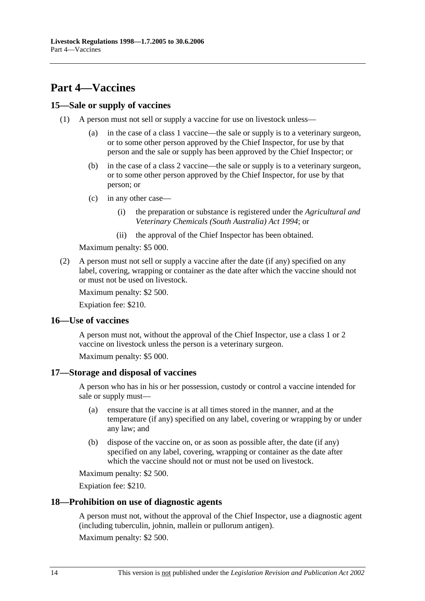# **Part 4—Vaccines**

## **15—Sale or supply of vaccines**

- (1) A person must not sell or supply a vaccine for use on livestock unless—
	- (a) in the case of a class 1 vaccine—the sale or supply is to a veterinary surgeon, or to some other person approved by the Chief Inspector, for use by that person and the sale or supply has been approved by the Chief Inspector; or
	- (b) in the case of a class 2 vaccine—the sale or supply is to a veterinary surgeon, or to some other person approved by the Chief Inspector, for use by that person; or
	- (c) in any other case—
		- (i) the preparation or substance is registered under the *Agricultural and Veterinary Chemicals (South Australia) Act 1994*; or
		- (ii) the approval of the Chief Inspector has been obtained.

Maximum penalty: \$5 000.

 (2) A person must not sell or supply a vaccine after the date (if any) specified on any label, covering, wrapping or container as the date after which the vaccine should not or must not be used on livestock.

Maximum penalty: \$2 500.

Expiation fee: \$210.

### **16—Use of vaccines**

A person must not, without the approval of the Chief Inspector, use a class 1 or 2 vaccine on livestock unless the person is a veterinary surgeon.

Maximum penalty: \$5 000.

### **17—Storage and disposal of vaccines**

A person who has in his or her possession, custody or control a vaccine intended for sale or supply must—

- (a) ensure that the vaccine is at all times stored in the manner, and at the temperature (if any) specified on any label, covering or wrapping by or under any law; and
- (b) dispose of the vaccine on, or as soon as possible after, the date (if any) specified on any label, covering, wrapping or container as the date after which the vaccine should not or must not be used on livestock.

Maximum penalty: \$2 500.

Expiation fee: \$210.

### **18—Prohibition on use of diagnostic agents**

A person must not, without the approval of the Chief Inspector, use a diagnostic agent (including tuberculin, johnin, mallein or pullorum antigen).

Maximum penalty: \$2 500.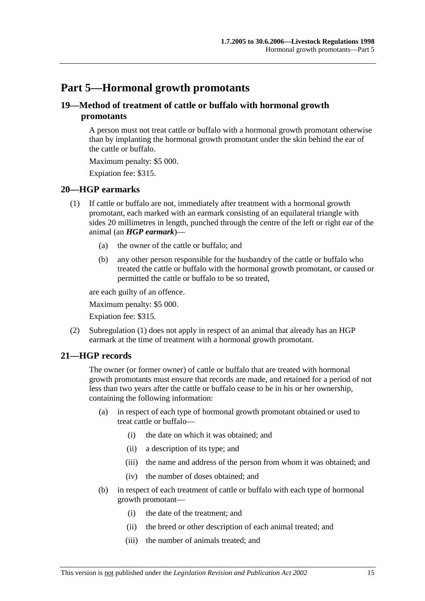# **Part 5—Hormonal growth promotants**

## **19—Method of treatment of cattle or buffalo with hormonal growth promotants**

A person must not treat cattle or buffalo with a hormonal growth promotant otherwise than by implanting the hormonal growth promotant under the skin behind the ear of the cattle or buffalo.

Maximum penalty: \$5 000.

Expiation fee: \$315.

### **20—HGP earmarks**

- (1) If cattle or buffalo are not, immediately after treatment with a hormonal growth promotant, each marked with an earmark consisting of an equilateral triangle with sides 20 millimetres in length, punched through the centre of the left or right ear of the animal (an *HGP earmark*)—
	- (a) the owner of the cattle or buffalo; and
	- (b) any other person responsible for the husbandry of the cattle or buffalo who treated the cattle or buffalo with the hormonal growth promotant, or caused or permitted the cattle or buffalo to be so treated,

are each guilty of an offence.

Maximum penalty: \$5 000.

Expiation fee: \$315.

 (2) Subregulation (1) does not apply in respect of an animal that already has an HGP earmark at the time of treatment with a hormonal growth promotant.

## **21—HGP records**

The owner (or former owner) of cattle or buffalo that are treated with hormonal growth promotants must ensure that records are made, and retained for a period of not less than two years after the cattle or buffalo cease to be in his or her ownership, containing the following information:

- (a) in respect of each type of hormonal growth promotant obtained or used to treat cattle or buffalo—
	- (i) the date on which it was obtained; and
	- (ii) a description of its type; and
	- (iii) the name and address of the person from whom it was obtained; and
	- (iv) the number of doses obtained; and
- (b) in respect of each treatment of cattle or buffalo with each type of hormonal growth promotant—
	- (i) the date of the treatment; and
	- (ii) the breed or other description of each animal treated; and
	- (iii) the number of animals treated; and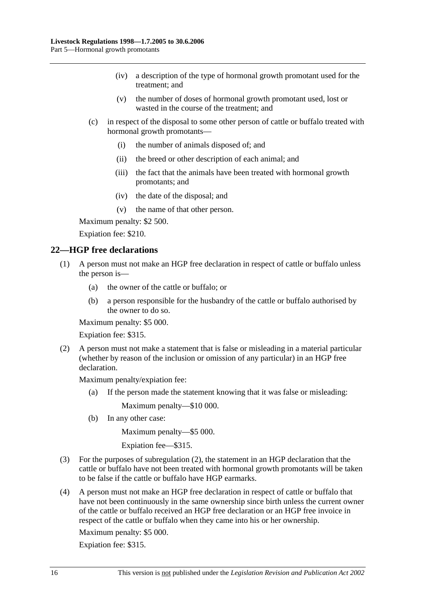- (iv) a description of the type of hormonal growth promotant used for the treatment; and
- (v) the number of doses of hormonal growth promotant used, lost or wasted in the course of the treatment; and
- (c) in respect of the disposal to some other person of cattle or buffalo treated with hormonal growth promotants—
	- (i) the number of animals disposed of; and
	- (ii) the breed or other description of each animal; and
	- (iii) the fact that the animals have been treated with hormonal growth promotants; and
	- (iv) the date of the disposal; and
	- (v) the name of that other person.

Maximum penalty: \$2 500.

Expiation fee: \$210.

### **22—HGP free declarations**

- (1) A person must not make an HGP free declaration in respect of cattle or buffalo unless the person is—
	- (a) the owner of the cattle or buffalo; or
	- (b) a person responsible for the husbandry of the cattle or buffalo authorised by the owner to do so.

Maximum penalty: \$5 000.

Expiation fee: \$315.

 (2) A person must not make a statement that is false or misleading in a material particular (whether by reason of the inclusion or omission of any particular) in an HGP free declaration.

Maximum penalty/expiation fee:

(a) If the person made the statement knowing that it was false or misleading:

Maximum penalty—\$10 000.

(b) In any other case:

Maximum penalty—\$5 000.

Expiation fee—\$315.

- (3) For the purposes of subregulation (2), the statement in an HGP declaration that the cattle or buffalo have not been treated with hormonal growth promotants will be taken to be false if the cattle or buffalo have HGP earmarks.
- (4) A person must not make an HGP free declaration in respect of cattle or buffalo that have not been continuously in the same ownership since birth unless the current owner of the cattle or buffalo received an HGP free declaration or an HGP free invoice in respect of the cattle or buffalo when they came into his or her ownership.

Maximum penalty: \$5 000.

Expiation fee: \$315.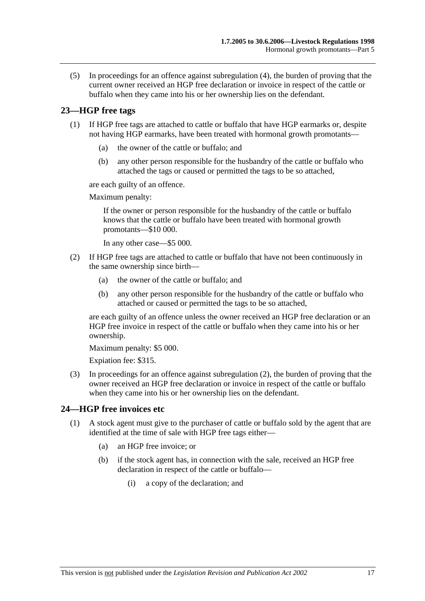(5) In proceedings for an offence against subregulation (4), the burden of proving that the current owner received an HGP free declaration or invoice in respect of the cattle or buffalo when they came into his or her ownership lies on the defendant.

## **23—HGP free tags**

- (1) If HGP free tags are attached to cattle or buffalo that have HGP earmarks or, despite not having HGP earmarks, have been treated with hormonal growth promotants—
	- (a) the owner of the cattle or buffalo; and
	- (b) any other person responsible for the husbandry of the cattle or buffalo who attached the tags or caused or permitted the tags to be so attached,

are each guilty of an offence.

Maximum penalty:

If the owner or person responsible for the husbandry of the cattle or buffalo knows that the cattle or buffalo have been treated with hormonal growth promotants—\$10 000.

In any other case—\$5 000.

- (2) If HGP free tags are attached to cattle or buffalo that have not been continuously in the same ownership since birth—
	- (a) the owner of the cattle or buffalo; and
	- (b) any other person responsible for the husbandry of the cattle or buffalo who attached or caused or permitted the tags to be so attached,

are each guilty of an offence unless the owner received an HGP free declaration or an HGP free invoice in respect of the cattle or buffalo when they came into his or her ownership.

Maximum penalty: \$5 000.

Expiation fee: \$315.

 (3) In proceedings for an offence against subregulation (2), the burden of proving that the owner received an HGP free declaration or invoice in respect of the cattle or buffalo when they came into his or her ownership lies on the defendant.

## **24—HGP free invoices etc**

- (1) A stock agent must give to the purchaser of cattle or buffalo sold by the agent that are identified at the time of sale with HGP free tags either—
	- (a) an HGP free invoice; or
	- (b) if the stock agent has, in connection with the sale, received an HGP free declaration in respect of the cattle or buffalo—
		- (i) a copy of the declaration; and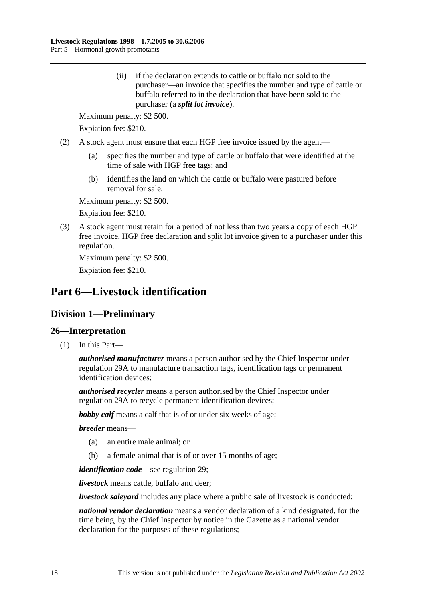(ii) if the declaration extends to cattle or buffalo not sold to the purchaser—an invoice that specifies the number and type of cattle or buffalo referred to in the declaration that have been sold to the purchaser (a *split lot invoice*).

Maximum penalty: \$2 500.

Expiation fee: \$210.

- (2) A stock agent must ensure that each HGP free invoice issued by the agent—
	- (a) specifies the number and type of cattle or buffalo that were identified at the time of sale with HGP free tags; and
	- (b) identifies the land on which the cattle or buffalo were pastured before removal for sale.

Maximum penalty: \$2 500.

Expiation fee: \$210.

 (3) A stock agent must retain for a period of not less than two years a copy of each HGP free invoice, HGP free declaration and split lot invoice given to a purchaser under this regulation.

Maximum penalty: \$2 500.

Expiation fee: \$210.

# **Part 6—Livestock identification**

# **Division 1—Preliminary**

## **26—Interpretation**

(1) In this Part—

*authorised manufacturer* means a person authorised by the Chief Inspector under regulation 29A to manufacture transaction tags, identification tags or permanent identification devices;

*authorised recycler* means a person authorised by the Chief Inspector under regulation 29A to recycle permanent identification devices;

*bobby calf* means a calf that is of or under six weeks of age;

*breeder* means—

- (a) an entire male animal; or
- (b) a female animal that is of or over 15 months of age;

*identification code*—see regulation 29;

*livestock* means cattle, buffalo and deer;

*livestock saleyard* includes any place where a public sale of livestock is conducted;

*national vendor declaration* means a vendor declaration of a kind designated, for the time being, by the Chief Inspector by notice in the Gazette as a national vendor declaration for the purposes of these regulations;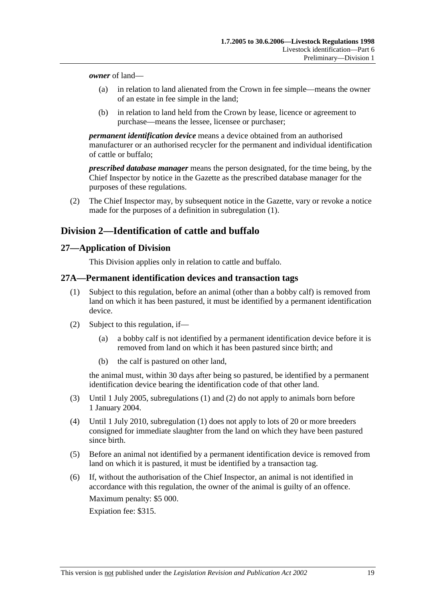*owner* of land—

- (a) in relation to land alienated from the Crown in fee simple—means the owner of an estate in fee simple in the land;
- (b) in relation to land held from the Crown by lease, licence or agreement to purchase—means the lessee, licensee or purchaser;

*permanent identification device* means a device obtained from an authorised manufacturer or an authorised recycler for the permanent and individual identification of cattle or buffalo;

*prescribed database manager* means the person designated, for the time being, by the Chief Inspector by notice in the Gazette as the prescribed database manager for the purposes of these regulations.

 (2) The Chief Inspector may, by subsequent notice in the Gazette, vary or revoke a notice made for the purposes of a definition in subregulation (1).

# **Division 2—Identification of cattle and buffalo**

## **27—Application of Division**

This Division applies only in relation to cattle and buffalo.

## **27A—Permanent identification devices and transaction tags**

- (1) Subject to this regulation, before an animal (other than a bobby calf) is removed from land on which it has been pastured, it must be identified by a permanent identification device.
- (2) Subject to this regulation, if—
	- (a) a bobby calf is not identified by a permanent identification device before it is removed from land on which it has been pastured since birth; and
	- (b) the calf is pastured on other land,

the animal must, within 30 days after being so pastured, be identified by a permanent identification device bearing the identification code of that other land.

- (3) Until 1 July 2005, subregulations (1) and (2) do not apply to animals born before 1 January 2004.
- (4) Until 1 July 2010, subregulation (1) does not apply to lots of 20 or more breeders consigned for immediate slaughter from the land on which they have been pastured since birth.
- (5) Before an animal not identified by a permanent identification device is removed from land on which it is pastured, it must be identified by a transaction tag.
- (6) If, without the authorisation of the Chief Inspector, an animal is not identified in accordance with this regulation, the owner of the animal is guilty of an offence.

Maximum penalty: \$5 000.

Expiation fee: \$315.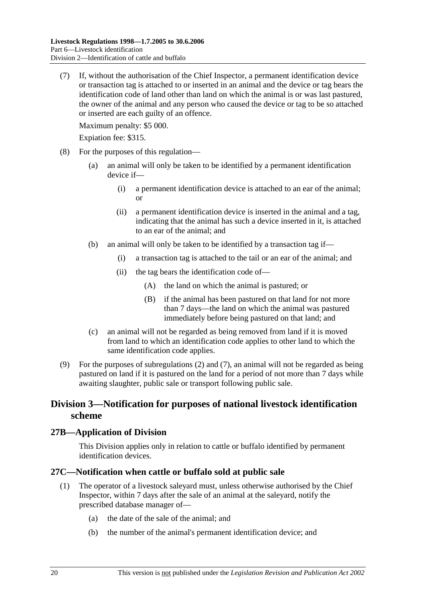(7) If, without the authorisation of the Chief Inspector, a permanent identification device or transaction tag is attached to or inserted in an animal and the device or tag bears the identification code of land other than land on which the animal is or was last pastured, the owner of the animal and any person who caused the device or tag to be so attached or inserted are each guilty of an offence.

Maximum penalty: \$5 000.

Expiation fee: \$315.

- (8) For the purposes of this regulation—
	- (a) an animal will only be taken to be identified by a permanent identification device if—
		- (i) a permanent identification device is attached to an ear of the animal; or
		- (ii) a permanent identification device is inserted in the animal and a tag, indicating that the animal has such a device inserted in it, is attached to an ear of the animal; and
	- (b) an animal will only be taken to be identified by a transaction tag if—
		- (i) a transaction tag is attached to the tail or an ear of the animal; and
		- (ii) the tag bears the identification code of—
			- (A) the land on which the animal is pastured; or
			- (B) if the animal has been pastured on that land for not more than 7 days—the land on which the animal was pastured immediately before being pastured on that land; and
	- (c) an animal will not be regarded as being removed from land if it is moved from land to which an identification code applies to other land to which the same identification code applies.
- (9) For the purposes of subregulations (2) and (7), an animal will not be regarded as being pastured on land if it is pastured on the land for a period of not more than 7 days while awaiting slaughter, public sale or transport following public sale.

## **Division 3—Notification for purposes of national livestock identification scheme**

## **27B—Application of Division**

This Division applies only in relation to cattle or buffalo identified by permanent identification devices.

### **27C—Notification when cattle or buffalo sold at public sale**

- (1) The operator of a livestock saleyard must, unless otherwise authorised by the Chief Inspector, within 7 days after the sale of an animal at the saleyard, notify the prescribed database manager of—
	- (a) the date of the sale of the animal; and
	- (b) the number of the animal's permanent identification device; and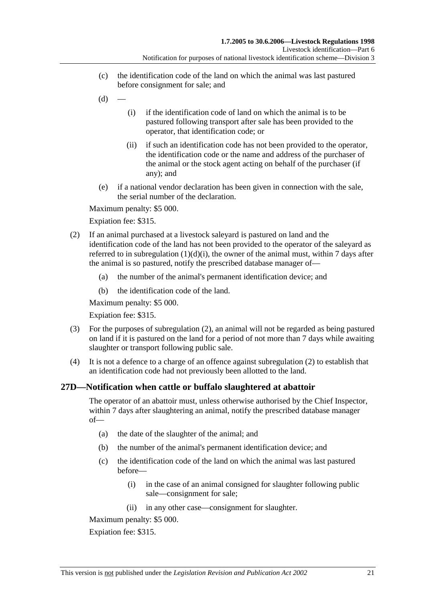- (c) the identification code of the land on which the animal was last pastured before consignment for sale; and
- $(d)$
- (i) if the identification code of land on which the animal is to be pastured following transport after sale has been provided to the operator, that identification code; or
- (ii) if such an identification code has not been provided to the operator, the identification code or the name and address of the purchaser of the animal or the stock agent acting on behalf of the purchaser (if any); and
- (e) if a national vendor declaration has been given in connection with the sale, the serial number of the declaration.

Maximum penalty: \$5 000.

Expiation fee: \$315.

- (2) If an animal purchased at a livestock saleyard is pastured on land and the identification code of the land has not been provided to the operator of the saleyard as referred to in subregulation  $(1)(d)(i)$ , the owner of the animal must, within 7 days after the animal is so pastured, notify the prescribed database manager of—
	- (a) the number of the animal's permanent identification device; and
	- (b) the identification code of the land.

Maximum penalty: \$5 000.

Expiation fee: \$315.

- (3) For the purposes of subregulation (2), an animal will not be regarded as being pastured on land if it is pastured on the land for a period of not more than 7 days while awaiting slaughter or transport following public sale.
- (4) It is not a defence to a charge of an offence against subregulation (2) to establish that an identification code had not previously been allotted to the land.

## **27D—Notification when cattle or buffalo slaughtered at abattoir**

The operator of an abattoir must, unless otherwise authorised by the Chief Inspector, within 7 days after slaughtering an animal, notify the prescribed database manager of—

- (a) the date of the slaughter of the animal; and
- (b) the number of the animal's permanent identification device; and
- (c) the identification code of the land on which the animal was last pastured before—
	- (i) in the case of an animal consigned for slaughter following public sale—consignment for sale;
	- (ii) in any other case—consignment for slaughter.

Maximum penalty: \$5 000.

Expiation fee: \$315.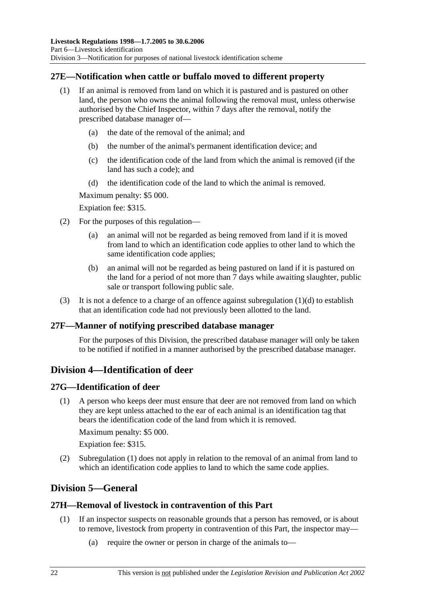## **27E—Notification when cattle or buffalo moved to different property**

- (1) If an animal is removed from land on which it is pastured and is pastured on other land, the person who owns the animal following the removal must, unless otherwise authorised by the Chief Inspector, within 7 days after the removal, notify the prescribed database manager of—
	- (a) the date of the removal of the animal; and
	- (b) the number of the animal's permanent identification device; and
	- (c) the identification code of the land from which the animal is removed (if the land has such a code); and
	- (d) the identification code of the land to which the animal is removed.

Maximum penalty: \$5 000.

Expiation fee: \$315.

- (2) For the purposes of this regulation—
	- (a) an animal will not be regarded as being removed from land if it is moved from land to which an identification code applies to other land to which the same identification code applies;
	- (b) an animal will not be regarded as being pastured on land if it is pastured on the land for a period of not more than 7 days while awaiting slaughter, public sale or transport following public sale.
- (3) It is not a defence to a charge of an offence against subregulation  $(1)(d)$  to establish that an identification code had not previously been allotted to the land.

## **27F—Manner of notifying prescribed database manager**

For the purposes of this Division, the prescribed database manager will only be taken to be notified if notified in a manner authorised by the prescribed database manager.

# **Division 4—Identification of deer**

## **27G—Identification of deer**

 (1) A person who keeps deer must ensure that deer are not removed from land on which they are kept unless attached to the ear of each animal is an identification tag that bears the identification code of the land from which it is removed.

Maximum penalty: \$5 000.

Expiation fee: \$315.

 (2) Subregulation (1) does not apply in relation to the removal of an animal from land to which an identification code applies to land to which the same code applies.

# **Division 5—General**

## **27H—Removal of livestock in contravention of this Part**

- (1) If an inspector suspects on reasonable grounds that a person has removed, or is about to remove, livestock from property in contravention of this Part, the inspector may—
	- (a) require the owner or person in charge of the animals to—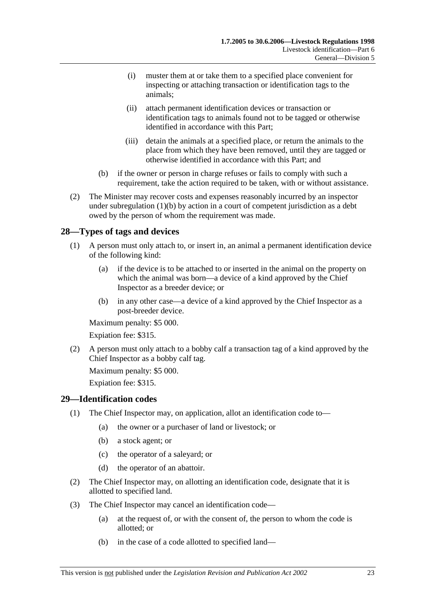- (i) muster them at or take them to a specified place convenient for inspecting or attaching transaction or identification tags to the animals;
- (ii) attach permanent identification devices or transaction or identification tags to animals found not to be tagged or otherwise identified in accordance with this Part;
- (iii) detain the animals at a specified place, or return the animals to the place from which they have been removed, until they are tagged or otherwise identified in accordance with this Part; and
- (b) if the owner or person in charge refuses or fails to comply with such a requirement, take the action required to be taken, with or without assistance.
- (2) The Minister may recover costs and expenses reasonably incurred by an inspector under subregulation (1)(b) by action in a court of competent jurisdiction as a debt owed by the person of whom the requirement was made.

## **28—Types of tags and devices**

- (1) A person must only attach to, or insert in, an animal a permanent identification device of the following kind:
	- (a) if the device is to be attached to or inserted in the animal on the property on which the animal was born—a device of a kind approved by the Chief Inspector as a breeder device; or
	- (b) in any other case—a device of a kind approved by the Chief Inspector as a post-breeder device.

Maximum penalty: \$5 000.

Expiation fee: \$315.

 (2) A person must only attach to a bobby calf a transaction tag of a kind approved by the Chief Inspector as a bobby calf tag.

Maximum penalty: \$5 000.

Expiation fee: \$315.

## **29—Identification codes**

- (1) The Chief Inspector may, on application, allot an identification code to—
	- (a) the owner or a purchaser of land or livestock; or
	- (b) a stock agent; or
	- (c) the operator of a saleyard; or
	- (d) the operator of an abattoir.
- (2) The Chief Inspector may, on allotting an identification code, designate that it is allotted to specified land.
- (3) The Chief Inspector may cancel an identification code—
	- (a) at the request of, or with the consent of, the person to whom the code is allotted; or
	- (b) in the case of a code allotted to specified land—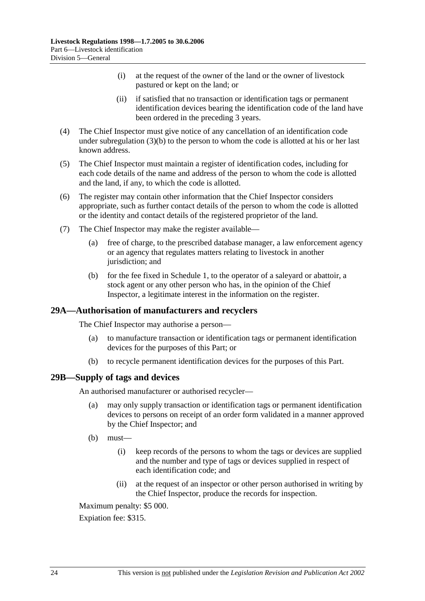- (i) at the request of the owner of the land or the owner of livestock pastured or kept on the land; or
- (ii) if satisfied that no transaction or identification tags or permanent identification devices bearing the identification code of the land have been ordered in the preceding 3 years.
- (4) The Chief Inspector must give notice of any cancellation of an identification code under subregulation (3)(b) to the person to whom the code is allotted at his or her last known address.
- (5) The Chief Inspector must maintain a register of identification codes, including for each code details of the name and address of the person to whom the code is allotted and the land, if any, to which the code is allotted.
- (6) The register may contain other information that the Chief Inspector considers appropriate, such as further contact details of the person to whom the code is allotted or the identity and contact details of the registered proprietor of the land.
- (7) The Chief Inspector may make the register available—
	- (a) free of charge, to the prescribed database manager, a law enforcement agency or an agency that regulates matters relating to livestock in another jurisdiction; and
	- (b) for the fee fixed in Schedule 1, to the operator of a saleyard or abattoir, a stock agent or any other person who has, in the opinion of the Chief Inspector, a legitimate interest in the information on the register.

## **29A—Authorisation of manufacturers and recyclers**

The Chief Inspector may authorise a person—

- (a) to manufacture transaction or identification tags or permanent identification devices for the purposes of this Part; or
- (b) to recycle permanent identification devices for the purposes of this Part.

### **29B—Supply of tags and devices**

An authorised manufacturer or authorised recycler—

- (a) may only supply transaction or identification tags or permanent identification devices to persons on receipt of an order form validated in a manner approved by the Chief Inspector; and
- $(b)$  must—
	- (i) keep records of the persons to whom the tags or devices are supplied and the number and type of tags or devices supplied in respect of each identification code; and
	- (ii) at the request of an inspector or other person authorised in writing by the Chief Inspector, produce the records for inspection.

Maximum penalty: \$5 000.

Expiation fee: \$315.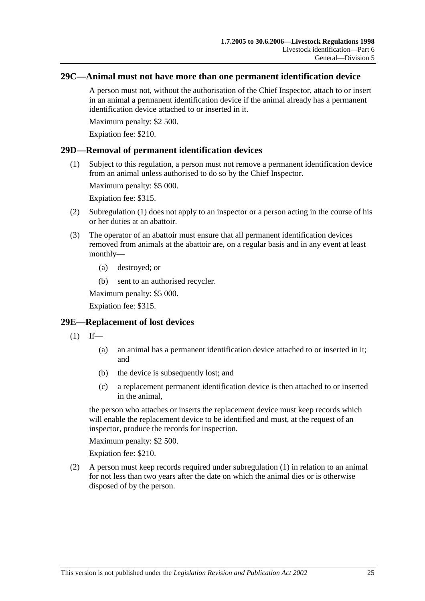### **29C—Animal must not have more than one permanent identification device**

A person must not, without the authorisation of the Chief Inspector, attach to or insert in an animal a permanent identification device if the animal already has a permanent identification device attached to or inserted in it.

Maximum penalty: \$2 500.

Expiation fee: \$210.

### **29D—Removal of permanent identification devices**

 (1) Subject to this regulation, a person must not remove a permanent identification device from an animal unless authorised to do so by the Chief Inspector.

Maximum penalty: \$5 000.

Expiation fee: \$315.

- (2) Subregulation (1) does not apply to an inspector or a person acting in the course of his or her duties at an abattoir.
- (3) The operator of an abattoir must ensure that all permanent identification devices removed from animals at the abattoir are, on a regular basis and in any event at least monthly—
	- (a) destroyed; or
	- (b) sent to an authorised recycler.

Maximum penalty: \$5 000.

Expiation fee: \$315.

## **29E—Replacement of lost devices**

- $(1)$  If—
	- (a) an animal has a permanent identification device attached to or inserted in it; and
	- (b) the device is subsequently lost; and
	- (c) a replacement permanent identification device is then attached to or inserted in the animal,

the person who attaches or inserts the replacement device must keep records which will enable the replacement device to be identified and must, at the request of an inspector, produce the records for inspection.

Maximum penalty: \$2 500.

Expiation fee: \$210.

 (2) A person must keep records required under subregulation (1) in relation to an animal for not less than two years after the date on which the animal dies or is otherwise disposed of by the person.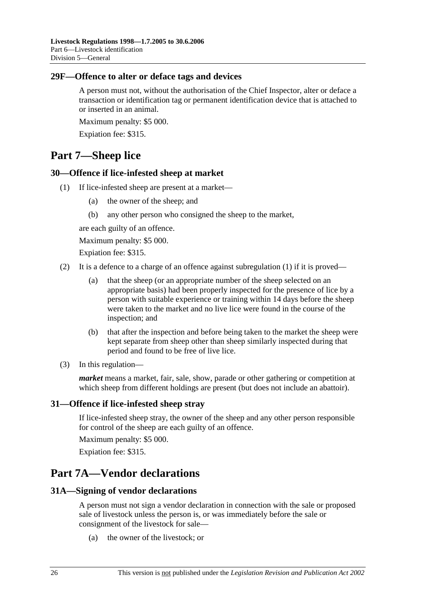## **29F—Offence to alter or deface tags and devices**

A person must not, without the authorisation of the Chief Inspector, alter or deface a transaction or identification tag or permanent identification device that is attached to or inserted in an animal.

Maximum penalty: \$5 000.

Expiation fee: \$315.

# **Part 7—Sheep lice**

## **30—Offence if lice-infested sheep at market**

- (1) If lice-infested sheep are present at a market—
	- (a) the owner of the sheep; and
	- (b) any other person who consigned the sheep to the market,

are each guilty of an offence.

Maximum penalty: \$5 000.

Expiation fee: \$315.

- (2) It is a defence to a charge of an offence against subregulation  $(1)$  if it is proved—
	- (a) that the sheep (or an appropriate number of the sheep selected on an appropriate basis) had been properly inspected for the presence of lice by a person with suitable experience or training within 14 days before the sheep were taken to the market and no live lice were found in the course of the inspection; and
	- (b) that after the inspection and before being taken to the market the sheep were kept separate from sheep other than sheep similarly inspected during that period and found to be free of live lice.
- (3) In this regulation—

*market* means a market, fair, sale, show, parade or other gathering or competition at which sheep from different holdings are present (but does not include an abattoir).

## **31—Offence if lice-infested sheep stray**

If lice-infested sheep stray, the owner of the sheep and any other person responsible for control of the sheep are each guilty of an offence.

Maximum penalty: \$5 000.

Expiation fee: \$315.

# **Part 7A—Vendor declarations**

## **31A—Signing of vendor declarations**

A person must not sign a vendor declaration in connection with the sale or proposed sale of livestock unless the person is, or was immediately before the sale or consignment of the livestock for sale—

(a) the owner of the livestock; or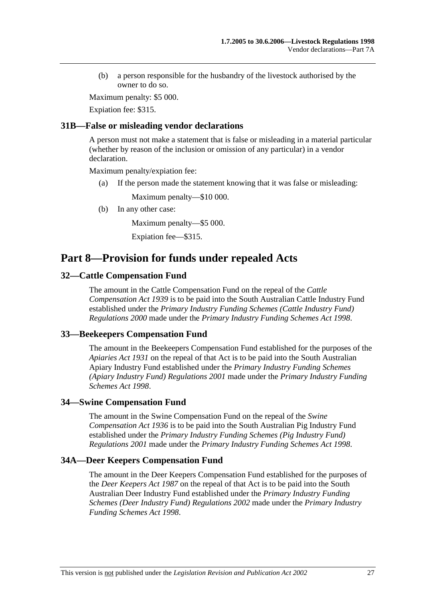(b) a person responsible for the husbandry of the livestock authorised by the owner to do so.

Maximum penalty: \$5 000.

Expiation fee: \$315.

### **31B—False or misleading vendor declarations**

A person must not make a statement that is false or misleading in a material particular (whether by reason of the inclusion or omission of any particular) in a vendor declaration.

Maximum penalty/expiation fee:

(a) If the person made the statement knowing that it was false or misleading:

Maximum penalty—\$10 000.

(b) In any other case:

Maximum penalty—\$5 000.

Expiation fee—\$315.

# **Part 8—Provision for funds under repealed Acts**

## **32—Cattle Compensation Fund**

The amount in the Cattle Compensation Fund on the repeal of the *Cattle Compensation Act 1939* is to be paid into the South Australian Cattle Industry Fund established under the *Primary Industry Funding Schemes (Cattle Industry Fund) Regulations 2000* made under the *Primary Industry Funding Schemes Act 1998*.

## **33—Beekeepers Compensation Fund**

The amount in the Beekeepers Compensation Fund established for the purposes of the *Apiaries Act 1931* on the repeal of that Act is to be paid into the South Australian Apiary Industry Fund established under the *Primary Industry Funding Schemes (Apiary Industry Fund) Regulations 2001* made under the *Primary Industry Funding Schemes Act 1998*.

### **34—Swine Compensation Fund**

The amount in the Swine Compensation Fund on the repeal of the *Swine Compensation Act 1936* is to be paid into the South Australian Pig Industry Fund established under the *Primary Industry Funding Schemes (Pig Industry Fund) Regulations 2001* made under the *Primary Industry Funding Schemes Act 1998*.

### **34A—Deer Keepers Compensation Fund**

The amount in the Deer Keepers Compensation Fund established for the purposes of the *Deer Keepers Act 1987* on the repeal of that Act is to be paid into the South Australian Deer Industry Fund established under the *Primary Industry Funding Schemes (Deer Industry Fund) Regulations 2002* made under the *Primary Industry Funding Schemes Act 1998*.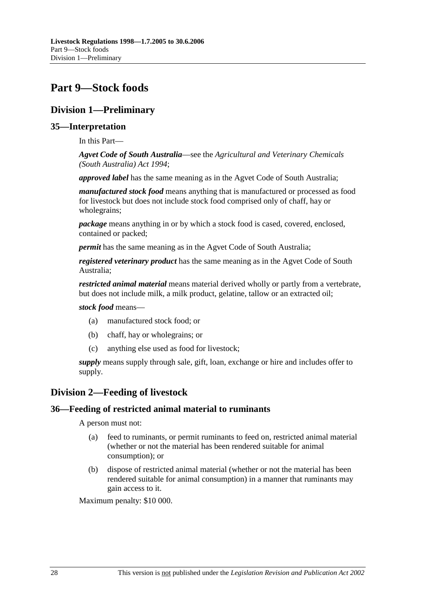# **Part 9—Stock foods**

# **Division 1—Preliminary**

## **35—Interpretation**

In this Part—

*Agvet Code of South Australia*—see the *Agricultural and Veterinary Chemicals (South Australia) Act 1994*;

*approved label* has the same meaning as in the Agvet Code of South Australia;

*manufactured stock food* means anything that is manufactured or processed as food for livestock but does not include stock food comprised only of chaff, hay or wholegrains;

*package* means anything in or by which a stock food is cased, covered, enclosed, contained or packed;

*permit* has the same meaning as in the Agvet Code of South Australia;

*registered veterinary product* has the same meaning as in the Agvet Code of South Australia;

*restricted animal material* means material derived wholly or partly from a vertebrate, but does not include milk, a milk product, gelatine, tallow or an extracted oil;

### *stock food* means—

- (a) manufactured stock food; or
- (b) chaff, hay or wholegrains; or
- (c) anything else used as food for livestock;

*supply* means supply through sale, gift, loan, exchange or hire and includes offer to supply.

## **Division 2—Feeding of livestock**

### **36—Feeding of restricted animal material to ruminants**

A person must not:

- (a) feed to ruminants, or permit ruminants to feed on, restricted animal material (whether or not the material has been rendered suitable for animal consumption); or
- (b) dispose of restricted animal material (whether or not the material has been rendered suitable for animal consumption) in a manner that ruminants may gain access to it.

Maximum penalty: \$10 000.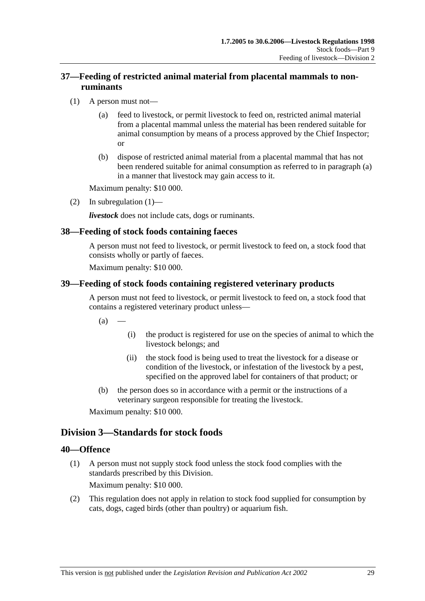## **37—Feeding of restricted animal material from placental mammals to nonruminants**

- (1) A person must not—
	- (a) feed to livestock, or permit livestock to feed on, restricted animal material from a placental mammal unless the material has been rendered suitable for animal consumption by means of a process approved by the Chief Inspector; or
	- (b) dispose of restricted animal material from a placental mammal that has not been rendered suitable for animal consumption as referred to in paragraph (a) in a manner that livestock may gain access to it.

Maximum penalty: \$10 000.

(2) In subregulation  $(1)$ —

*livestock* does not include cats, dogs or ruminants.

## **38—Feeding of stock foods containing faeces**

A person must not feed to livestock, or permit livestock to feed on, a stock food that consists wholly or partly of faeces.

Maximum penalty: \$10 000.

## **39—Feeding of stock foods containing registered veterinary products**

A person must not feed to livestock, or permit livestock to feed on, a stock food that contains a registered veterinary product unless—

 $(a)$ 

- (i) the product is registered for use on the species of animal to which the livestock belongs; and
- (ii) the stock food is being used to treat the livestock for a disease or condition of the livestock, or infestation of the livestock by a pest, specified on the approved label for containers of that product; or
- (b) the person does so in accordance with a permit or the instructions of a veterinary surgeon responsible for treating the livestock.

Maximum penalty: \$10 000.

# **Division 3—Standards for stock foods**

## **40—Offence**

 (1) A person must not supply stock food unless the stock food complies with the standards prescribed by this Division.

Maximum penalty: \$10 000.

 (2) This regulation does not apply in relation to stock food supplied for consumption by cats, dogs, caged birds (other than poultry) or aquarium fish.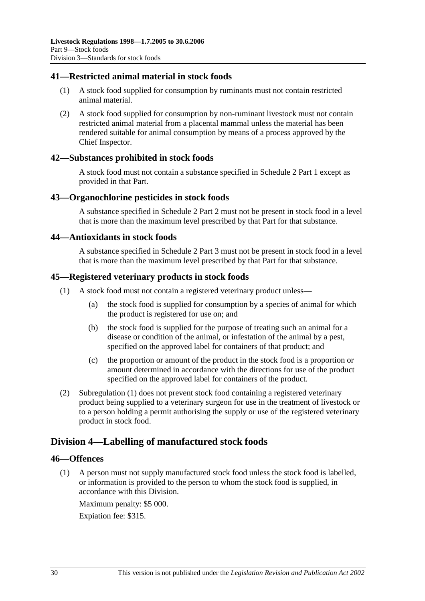## **41—Restricted animal material in stock foods**

- (1) A stock food supplied for consumption by ruminants must not contain restricted animal material.
- (2) A stock food supplied for consumption by non-ruminant livestock must not contain restricted animal material from a placental mammal unless the material has been rendered suitable for animal consumption by means of a process approved by the Chief Inspector.

## **42—Substances prohibited in stock foods**

A stock food must not contain a substance specified in Schedule 2 Part 1 except as provided in that Part.

### **43—Organochlorine pesticides in stock foods**

A substance specified in Schedule 2 Part 2 must not be present in stock food in a level that is more than the maximum level prescribed by that Part for that substance.

### **44—Antioxidants in stock foods**

A substance specified in Schedule 2 Part 3 must not be present in stock food in a level that is more than the maximum level prescribed by that Part for that substance.

### **45—Registered veterinary products in stock foods**

- (1) A stock food must not contain a registered veterinary product unless—
	- (a) the stock food is supplied for consumption by a species of animal for which the product is registered for use on; and
	- (b) the stock food is supplied for the purpose of treating such an animal for a disease or condition of the animal, or infestation of the animal by a pest, specified on the approved label for containers of that product; and
	- (c) the proportion or amount of the product in the stock food is a proportion or amount determined in accordance with the directions for use of the product specified on the approved label for containers of the product.
- (2) Subregulation (1) does not prevent stock food containing a registered veterinary product being supplied to a veterinary surgeon for use in the treatment of livestock or to a person holding a permit authorising the supply or use of the registered veterinary product in stock food.

## **Division 4—Labelling of manufactured stock foods**

### **46—Offences**

 (1) A person must not supply manufactured stock food unless the stock food is labelled, or information is provided to the person to whom the stock food is supplied, in accordance with this Division.

Maximum penalty: \$5 000. Expiation fee: \$315.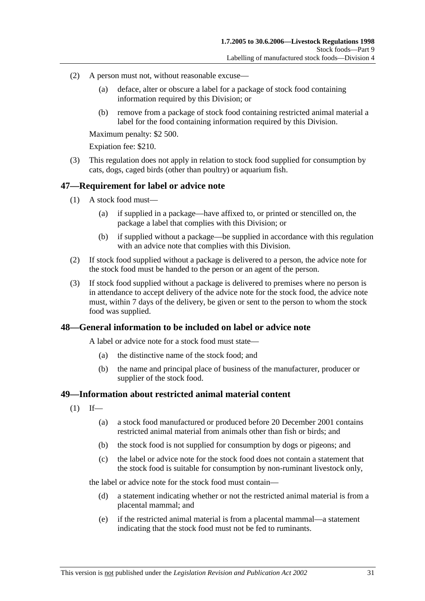- (2) A person must not, without reasonable excuse—
	- (a) deface, alter or obscure a label for a package of stock food containing information required by this Division; or
	- (b) remove from a package of stock food containing restricted animal material a label for the food containing information required by this Division.

Maximum penalty: \$2 500.

Expiation fee: \$210.

 (3) This regulation does not apply in relation to stock food supplied for consumption by cats, dogs, caged birds (other than poultry) or aquarium fish.

### **47—Requirement for label or advice note**

- (1) A stock food must—
	- (a) if supplied in a package—have affixed to, or printed or stencilled on, the package a label that complies with this Division; or
	- (b) if supplied without a package—be supplied in accordance with this regulation with an advice note that complies with this Division.
- (2) If stock food supplied without a package is delivered to a person, the advice note for the stock food must be handed to the person or an agent of the person.
- (3) If stock food supplied without a package is delivered to premises where no person is in attendance to accept delivery of the advice note for the stock food, the advice note must, within 7 days of the delivery, be given or sent to the person to whom the stock food was supplied.

### **48—General information to be included on label or advice note**

A label or advice note for a stock food must state—

- (a) the distinctive name of the stock food; and
- (b) the name and principal place of business of the manufacturer, producer or supplier of the stock food.

### **49—Information about restricted animal material content**

- $(1)$  If—
	- (a) a stock food manufactured or produced before 20 December 2001 contains restricted animal material from animals other than fish or birds; and
	- (b) the stock food is not supplied for consumption by dogs or pigeons; and
	- (c) the label or advice note for the stock food does not contain a statement that the stock food is suitable for consumption by non-ruminant livestock only,

the label or advice note for the stock food must contain—

- (d) a statement indicating whether or not the restricted animal material is from a placental mammal; and
- (e) if the restricted animal material is from a placental mammal—a statement indicating that the stock food must not be fed to ruminants.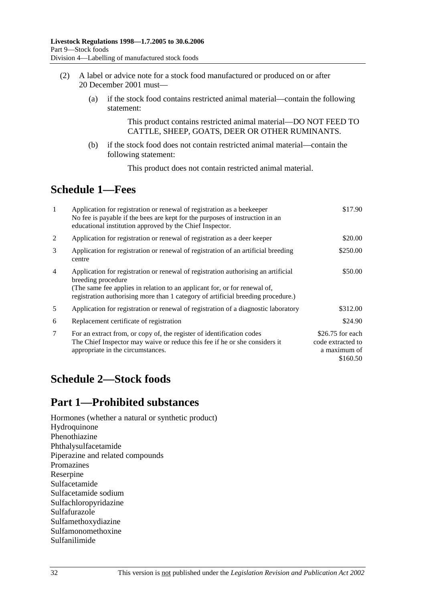- (2) A label or advice note for a stock food manufactured or produced on or after 20 December 2001 must—
	- (a) if the stock food contains restricted animal material—contain the following statement:

This product contains restricted animal material—DO NOT FEED TO CATTLE, SHEEP, GOATS, DEER OR OTHER RUMINANTS.

 (b) if the stock food does not contain restricted animal material—contain the following statement:

This product does not contain restricted animal material.

# **Schedule 1—Fees**

| -1 | Application for registration or renewal of registration as a beekeeper<br>No fee is payable if the bees are kept for the purposes of instruction in an<br>educational institution approved by the Chief Inspector.                                                       | \$17.90                                                            |
|----|--------------------------------------------------------------------------------------------------------------------------------------------------------------------------------------------------------------------------------------------------------------------------|--------------------------------------------------------------------|
| 2  | Application for registration or renewal of registration as a deer keeper                                                                                                                                                                                                 | \$20.00                                                            |
| 3  | Application for registration or renewal of registration of an artificial breeding<br>centre                                                                                                                                                                              | \$250.00                                                           |
| 4  | Application for registration or renewal of registration authorising an artificial<br>breeding procedure<br>(The same fee applies in relation to an applicant for, or for renewal of,<br>registration authorising more than 1 category of artificial breeding procedure.) | \$50.00                                                            |
| 5  | Application for registration or renewal of registration of a diagnostic laboratory                                                                                                                                                                                       | \$312.00                                                           |
| 6  | Replacement certificate of registration                                                                                                                                                                                                                                  | \$24.90                                                            |
| 7  | For an extract from, or copy of, the register of identification codes<br>The Chief Inspector may waive or reduce this fee if he or she considers it<br>appropriate in the circumstances.                                                                                 | $$26.75$ for each<br>code extracted to<br>a maximum of<br>\$160.50 |

# **Schedule 2—Stock foods**

# **Part 1—Prohibited substances**

Hormones (whether a natural or synthetic product) Hydroquinone Phenothiazine Phthalysulfacetamide Piperazine and related compounds Promazines Reserpine Sulfacetamide Sulfacetamide sodium Sulfachloropyridazine Sulfafurazole Sulfamethoxydiazine Sulfamonomethoxine Sulfanilimide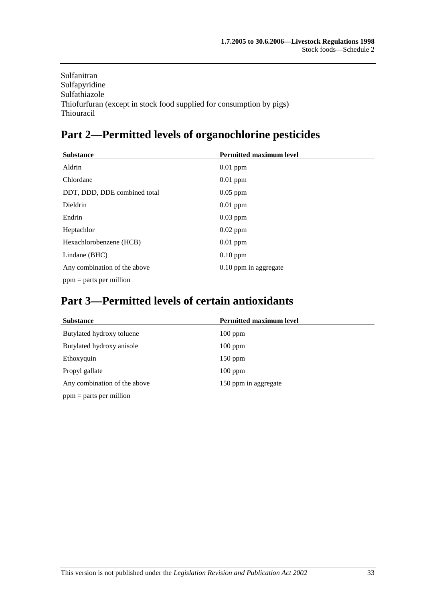Sulfanitran Sulfapyridine Sulfathiazole Thiofurfuran (except in stock food supplied for consumption by pigs) Thiouracil

# **Part 2—Permitted levels of organochlorine pesticides**

| <b>Substance</b>             | <b>Permitted maximum level</b> |
|------------------------------|--------------------------------|
| Aldrin                       | $0.01$ ppm                     |
| Chlordane                    | $0.01$ ppm                     |
| DDT, DDD, DDE combined total | $0.05$ ppm                     |
| Dieldrin                     | $0.01$ ppm                     |
| Endrin                       | $0.03$ ppm                     |
| Heptachlor                   | $0.02$ ppm                     |
| Hexachlorobenzene (HCB)      | $0.01$ ppm                     |
| Lindane (BHC)                | $0.10$ ppm                     |
| Any combination of the above | 0.10 ppm in aggregate          |
| $ppm =$ parts per million    |                                |

# **Part 3—Permitted levels of certain antioxidants**

| <b>Substance</b>             | <b>Permitted maximum level</b> |
|------------------------------|--------------------------------|
| Butylated hydroxy toluene    | $100$ ppm                      |
| Butylated hydroxy anisole    | $100$ ppm                      |
| Ethoxyquin                   | $150$ ppm                      |
| Propyl gallate               | $100$ ppm                      |
| Any combination of the above | 150 ppm in aggregate           |
| $ppm =$ parts per million    |                                |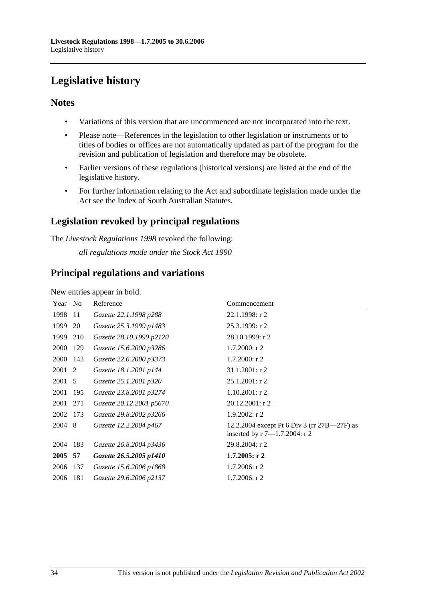# **Legislative history**

## **Notes**

- Variations of this version that are uncommenced are not incorporated into the text.
- Please note—References in the legislation to other legislation or instruments or to titles of bodies or offices are not automatically updated as part of the program for the revision and publication of legislation and therefore may be obsolete.
- Earlier versions of these regulations (historical versions) are listed at the end of the legislative history.
- For further information relating to the Act and subordinate legislation made under the Act see the Index of South Australian Statutes.

# **Legislation revoked by principal regulations**

The *Livestock Regulations 1998* revoked the following: *all regulations made under the Stock Act 1990*

## **Principal regulations and variations**

New entries appear in bold.

| Year No |     | Reference                | Commencement                                                                        |
|---------|-----|--------------------------|-------------------------------------------------------------------------------------|
| 1998    | -11 | Gazette 22.1.1998 p288   | $22.1.1998:$ r 2                                                                    |
| 1999    | 20  | Gazette 25.3.1999 p1483  | 25.3.1999: r 2                                                                      |
| 1999    | 210 | Gazette 28.10.1999 p2120 | 28.10.1999: r 2                                                                     |
| 2000    | 129 | Gazette 15.6.2000 p3286  | $1.7.2000$ : r 2                                                                    |
| 2000    | 143 | Gazette 22.6.2000 p3373  | $1.7.2000$ : r 2                                                                    |
| 2001 2  |     | Gazette 18.1.2001 p144   | $31.1.2001$ : r 2                                                                   |
| 2001    | 5   | Gazette 25.1.2001 p320   | $25.1.2001$ : r 2                                                                   |
| 2001    | 195 | Gazette 23.8.2001 p3274  | $1.10.2001$ : r 2                                                                   |
| 2001    | 271 | Gazette 20.12.2001 p5670 | $20.12.2001:$ r 2                                                                   |
| 2002    | 173 | Gazette 29.8.2002 p3266  | $1.9.2002$ : r 2                                                                    |
| 2004 8  |     | Gazette 12.2.2004 p467   | 12.2.2004 except Pt 6 Div 3 (rr 27B—27F) as<br>inserted by $r 7 - 1.7.2004$ : $r 2$ |
| 2004    | 183 | Gazette 26.8.2004 p3436  | 29.8.2004: r 2                                                                      |
| 2005 57 |     | Gazette 26.5.2005 p1410  | $1.7.2005:$ r 2                                                                     |
| 2006    | 137 | Gazette 15.6.2006 p1868  | $1.7.2006$ : r 2                                                                    |
| 2006    | 181 | Gazette 29.6.2006 p2137  | $1.7.2006$ : r 2                                                                    |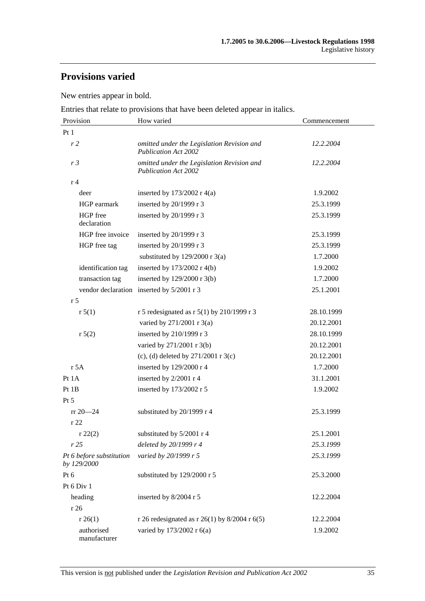# **Provisions varied**

New entries appear in bold.

Entries that relate to provisions that have been deleted appear in italics.

| Provision                               | How varied                                                                | Commencement |
|-----------------------------------------|---------------------------------------------------------------------------|--------------|
| Pt1                                     |                                                                           |              |
| r2                                      | omitted under the Legislation Revision and<br><b>Publication Act 2002</b> | 12.2.2004    |
| r <sub>3</sub>                          | omitted under the Legislation Revision and<br><b>Publication Act 2002</b> | 12.2.2004    |
| r 4                                     |                                                                           |              |
| deer                                    | inserted by $173/2002$ r 4(a)                                             | 1.9.2002     |
| HGP earmark                             | inserted by 20/1999 r 3                                                   | 25.3.1999    |
| HGP free<br>declaration                 | inserted by 20/1999 r 3                                                   | 25.3.1999    |
| HGP free invoice                        | inserted by 20/1999 r 3                                                   | 25.3.1999    |
| HGP free tag                            | inserted by 20/1999 r 3                                                   | 25.3.1999    |
|                                         | substituted by $129/2000$ r 3(a)                                          | 1.7.2000     |
| identification tag                      | inserted by $173/2002$ r 4(b)                                             | 1.9.2002     |
| transaction tag                         | inserted by 129/2000 r 3(b)                                               | 1.7.2000     |
|                                         | vendor declaration inserted by 5/2001 r 3                                 | 25.1.2001    |
| r <sub>5</sub>                          |                                                                           |              |
| r 5(1)                                  | r 5 redesignated as r $5(1)$ by 210/1999 r 3                              | 28.10.1999   |
|                                         | varied by 271/2001 r 3(a)                                                 | 20.12.2001   |
| r 5(2)                                  | inserted by 210/1999 r 3                                                  | 28.10.1999   |
|                                         | varied by 271/2001 r 3(b)                                                 | 20.12.2001   |
|                                         | (c), (d) deleted by $271/2001$ r 3(c)                                     | 20.12.2001   |
| r 5A                                    | inserted by 129/2000 r 4                                                  | 1.7.2000     |
| Pt 1A                                   | inserted by 2/2001 r 4                                                    | 31.1.2001    |
| Pt 1B                                   | inserted by 173/2002 r 5                                                  | 1.9.2002     |
| $Pt\,5$                                 |                                                                           |              |
| $rr 20 - 24$                            | substituted by 20/1999 r 4                                                | 25.3.1999    |
| r 22                                    |                                                                           |              |
| $r\,22(2)$                              | substituted by $5/2001$ r 4                                               | 25.1.2001    |
| r25                                     | deleted by 20/1999 r 4                                                    | 25.3.1999    |
| Pt 6 before substitution<br>by 129/2000 | varied by 20/1999 r 5                                                     | 25.3.1999    |
| Pt 6                                    | substituted by 129/2000 r 5                                               | 25.3.2000    |
| Pt 6 Div 1                              |                                                                           |              |
| heading                                 | inserted by 8/2004 r 5                                                    | 12.2.2004    |
| r 26                                    |                                                                           |              |
| r 26(1)                                 | r 26 redesignated as r 26(1) by 8/2004 r 6(5)                             | 12.2.2004    |
| authorised<br>manufacturer              | varied by 173/2002 r 6(a)                                                 | 1.9.2002     |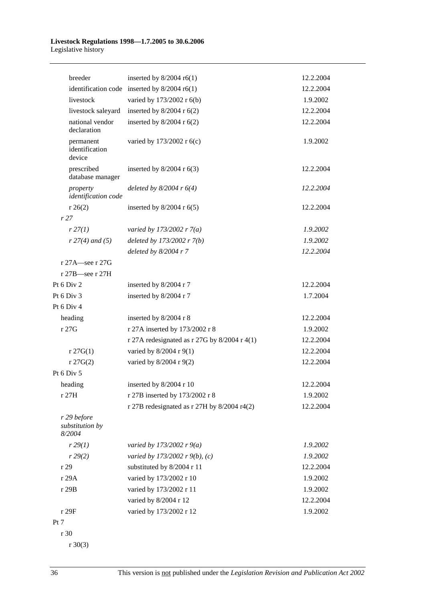#### **Livestock Regulations 1998—1.7.2005 to 30.6.2006**  Legislative history

| breeder                                  | inserted by $8/2004$ r6(1)                     | 12.2.2004 |
|------------------------------------------|------------------------------------------------|-----------|
|                                          | identification code inserted by $8/2004$ r6(1) | 12.2.2004 |
| livestock                                | varied by 173/2002 r 6(b)                      | 1.9.2002  |
| livestock saleyard                       | inserted by $8/2004$ r $6(2)$                  | 12.2.2004 |
| national vendor<br>declaration           | inserted by $8/2004$ r $6(2)$                  | 12.2.2004 |
| permanent<br>identification<br>device    | varied by 173/2002 r 6(c)                      | 1.9.2002  |
| prescribed<br>database manager           | inserted by $8/2004$ r $6(3)$                  | 12.2.2004 |
| property<br>identification code          | deleted by $8/2004$ r $6(4)$                   | 12.2.2004 |
| r 26(2)                                  | inserted by $8/2004$ r $6(5)$                  | 12.2.2004 |
| r27                                      |                                                |           |
| r 27(1)                                  | varied by 173/2002 r $7(a)$                    | 1.9.2002  |
| $r 27(4)$ and (5)                        | deleted by $173/2002$ r $7(b)$                 | 1.9.2002  |
|                                          | deleted by $8/2004$ r $7$                      | 12.2.2004 |
| r 27A—see r 27G                          |                                                |           |
| r 27B—see r 27H                          |                                                |           |
| Pt 6 Div 2                               | inserted by 8/2004 r 7                         | 12.2.2004 |
| Pt 6 Div 3                               | inserted by 8/2004 r 7                         | 1.7.2004  |
| Pt 6 Div 4                               |                                                |           |
| heading                                  | inserted by 8/2004 r 8                         | 12.2.2004 |
| r 27G                                    | r 27A inserted by 173/2002 r 8                 | 1.9.2002  |
|                                          | r 27A redesignated as r 27G by $8/2004$ r 4(1) | 12.2.2004 |
| $r \, 27G(1)$                            | varied by 8/2004 r 9(1)                        | 12.2.2004 |
| $r \, 27G(2)$                            | varied by $8/2004$ r $9(2)$                    | 12.2.2004 |
| Pt 6 Div 5                               |                                                |           |
| heading                                  | inserted by 8/2004 r 10                        | 12.2.2004 |
| r 27H                                    | r 27B inserted by 173/2002 r 8                 | 1.9.2002  |
|                                          | r 27B redesignated as r 27H by $8/2004$ r4(2)  | 12.2.2004 |
| r 29 before<br>substitution by<br>8/2004 |                                                |           |
| r 29(1)                                  | varied by 173/2002 r $9(a)$                    | 1.9.2002  |
| r 29(2)                                  | varied by 173/2002 r 9(b), (c)                 | 1.9.2002  |
| r 29                                     | substituted by 8/2004 r 11                     | 12.2.2004 |
| r 29A                                    | varied by 173/2002 r 10                        | 1.9.2002  |
| r 29B                                    | varied by 173/2002 r 11                        | 1.9.2002  |
|                                          | varied by 8/2004 r 12                          | 12.2.2004 |
| r 29F                                    | varied by 173/2002 r 12                        | 1.9.2002  |
| Pt 7                                     |                                                |           |
| r 30                                     |                                                |           |

r 30(3)